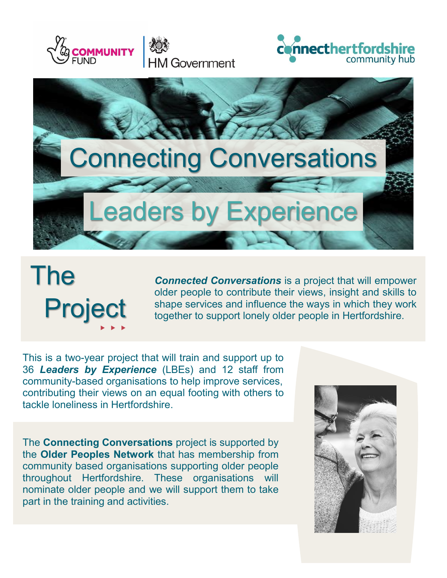





## The Project  $\blacktriangleright\blacktriangleright\blacktriangleright$

*Connected Conversations* is a project that will empower older people to contribute their views, insight and skills to shape services and influence the ways in which they work together to support lonely older people in Hertfordshire.

This is a two-year project that will train and support up to 36 *Leaders by Experience* (LBEs) and 12 staff from community-based organisations to help improve services, contributing their views on an equal footing with others to tackle loneliness in Hertfordshire.

The **Connecting Conversations** project is supported by the **Older Peoples Network** that has membership from community based organisations supporting older people throughout Hertfordshire. These organisations will nominate older people and we will support them to take part in the training and activities.